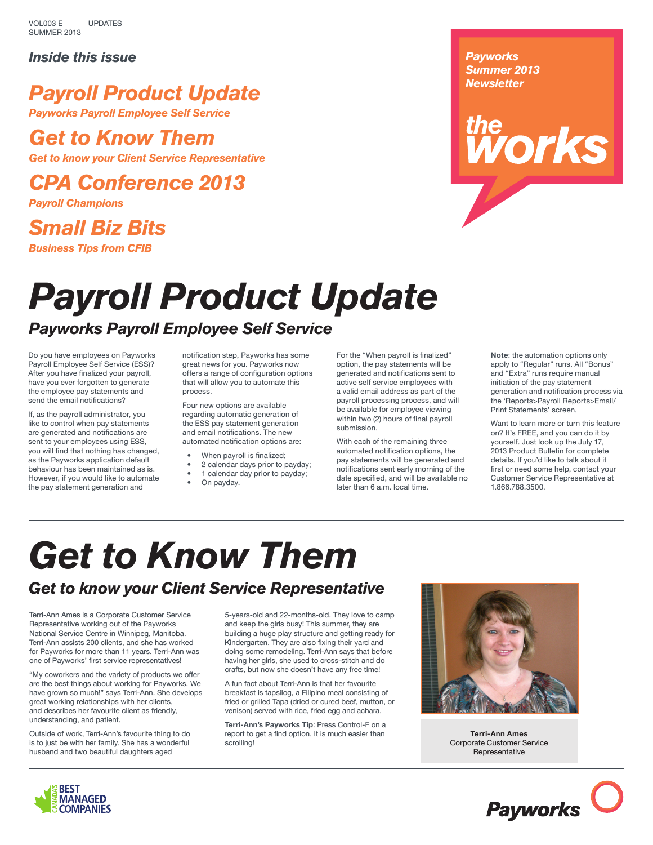VOL003 E SUMMER 2013 UPDATES

#### *Inside this issue*

## *Payroll Product Update*

*Payworks Payroll Employee Self Service*

## *Get to Know Them*

*Get to know your Client Service Representative*

*CPA Conference 2013*

*Payroll Champions*

## *Small Biz Bits Business Tips from CFIB*

#### *Payworks Summer 2013 Newsletter*

# **re**<br>*Norks*

## *Payroll Product Update Payworks Payroll Employee Self Service*

Do you have employees on Payworks Payroll Employee Self Service (ESS)? After you have finalized your payroll, have you ever forgotten to generate the employee pay statements and send the email notifications?

If, as the payroll administrator, you like to control when pay statements are generated and notifications are sent to your employees using ESS, you will find that nothing has changed, as the Payworks application default behaviour has been maintained as is. However, if you would like to automate the pay statement generation and

notification step, Payworks has some great news for you. Payworks now offers a range of configuration options that will allow you to automate this process.

Four new options are available regarding automatic generation of the ESS pay statement generation and email notifications. The new automated notification options are:

- When payroll is finalized;
- 2 calendar days prior to payday;
- 1 calendar day prior to payday;
- On payday.
	-

For the "When payroll is finalized" option, the pay statements will be generated and notifications sent to active self service employees with a valid email address as part of the payroll processing process, and will be available for employee viewing within two (2) hours of final payroll submission.

With each of the remaining three automated notification options, the pay statements will be generated and notifications sent early morning of the date specified, and will be available no later than 6 a.m. local time.

**Note**: the automation options only apply to "Regular" runs. All "Bonus" and "Extra" runs require manual initiation of the pay statement generation and notification process via the 'Reports>Payroll Reports>Email/ Print Statements' screen.

Want to learn more or turn this feature on? It's FREE, and you can do it by yourself. Just look up the July 17, 2013 Product Bulletin for complete details. If you'd like to talk about it first or need some help, contact your Customer Service Representative at 1.866.788.3500.

# *Get to Know Them*

#### *Get to know your Client Service Representative*

Terri-Ann Ames is a Corporate Customer Service Representative working out of the Payworks National Service Centre in Winnipeg, Manitoba. Terri-Ann assists 200 clients, and she has worked for Payworks for more than 11 years. Terri-Ann was one of Payworks' first service representatives!

"My coworkers and the variety of products we offer are the best things about working for Payworks. We have grown so much!" says Terri-Ann. She develops great working relationships with her clients, and describes her favourite client as friendly, understanding, and patient.

Outside of work, Terri-Ann's favourite thing to do is to just be with her family. She has a wonderful husband and two beautiful daughters aged

5-years-old and 22-months-old. They love to camp and keep the girls busy! This summer, they are building a huge play structure and getting ready for Kindergarten. They are also fixing their yard and doing some remodeling. Terri-Ann says that before having her girls, she used to cross-stitch and do crafts, but now she doesn't have any free time!

A fun fact about Terri-Ann is that her favourite breakfast is tapsilog, a Filipino meal consisting of fried or grilled Tapa (dried or cured beef, mutton, or venison) served with rice, fried egg and achara.

**Terri-Ann's Payworks Tip**: Press Control-F on a report to get a find option. It is much easier than scrolling!



**Terri-Ann Ames** Corporate Customer Service Representative